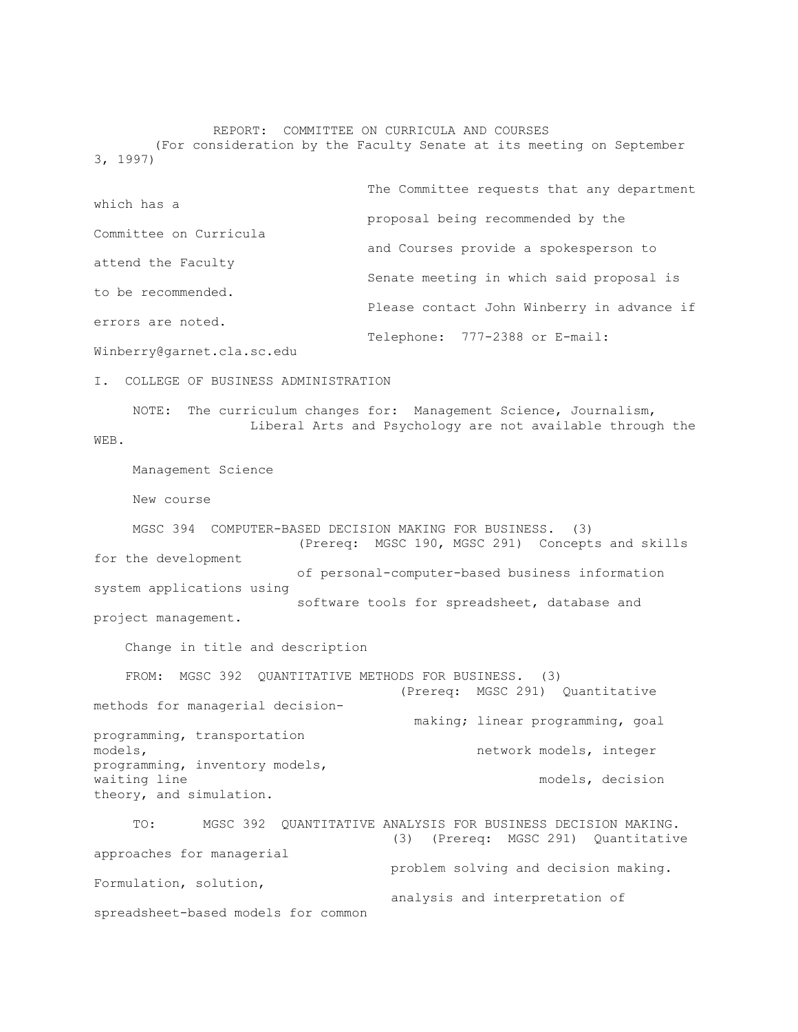# REPORT: COMMITTEE ON CURRICULA AND COURSES

(For consideration by the Faculty Senate at its meeting on September 3, 1997)

|                            | The Committee requests that any department |
|----------------------------|--------------------------------------------|
| which has a                |                                            |
|                            | proposal being recommended by the          |
| Committee on Curricula     |                                            |
|                            | and Courses provide a spokesperson to      |
| attend the Faculty         |                                            |
|                            | Senate meeting in which said proposal is   |
| to be recommended.         |                                            |
|                            | Please contact John Winberry in advance if |
| errors are noted.          |                                            |
|                            | Telephone: 777-2388 or E-mail:             |
| Winberry@garnet.cla.sc.edu |                                            |

I. COLLEGE OF BUSINESS ADMINISTRATION

 NOTE: The curriculum changes for: Management Science, Journalism, Liberal Arts and Psychology are not available through the WEB.

Management Science

New course

 MGSC 394 COMPUTER-BASED DECISION MAKING FOR BUSINESS. (3) (Prereq: MGSC 190, MGSC 291) Concepts and skills for the development of personal-computer-based business information system applications using software tools for spreadsheet, database and project management.

Change in title and description

 FROM: MGSC 392 QUANTITATIVE METHODS FOR BUSINESS. (3) (Prereq: MGSC 291) Quantitative methods for managerial decision making; linear programming, goal programming, transportation models, network models, integer programming, inventory models, waiting line models, decision models, decision theory, and simulation.

 TO: MGSC 392 QUANTITATIVE ANALYSIS FOR BUSINESS DECISION MAKING. (3) (Prereq: MGSC 291) Quantitative approaches for managerial problem solving and decision making. Formulation, solution, analysis and interpretation of spreadsheet-based models for common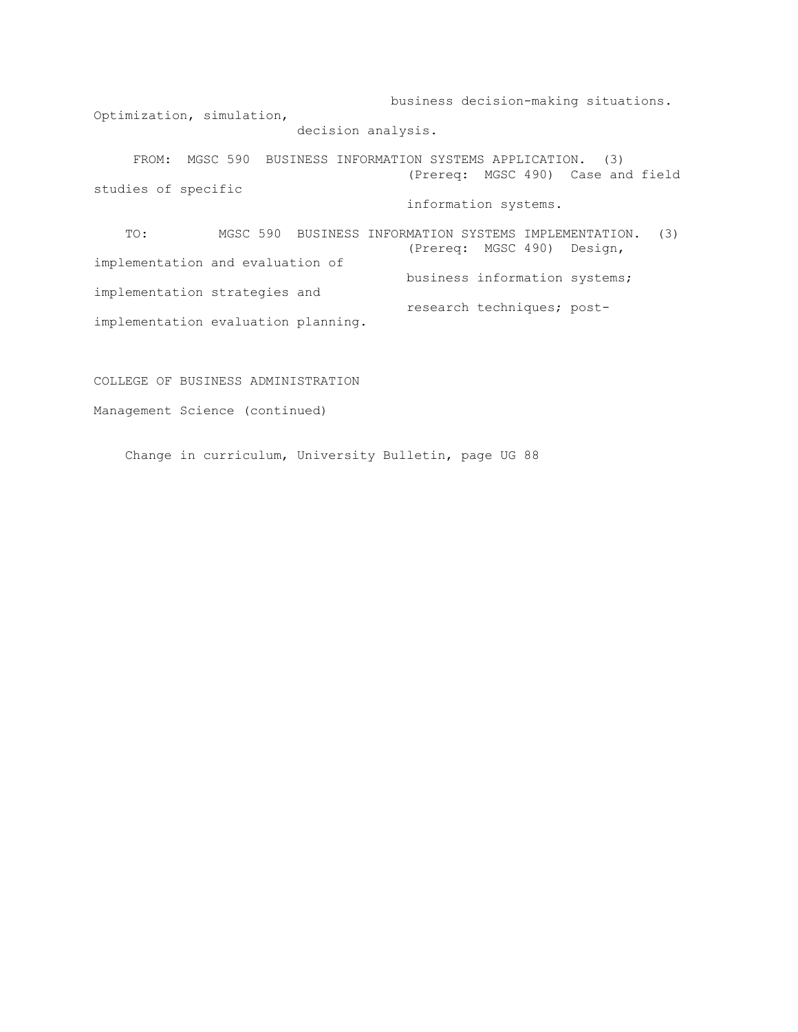business decision-making situations. Optimization, simulation, decision analysis.

 FROM: MGSC 590 BUSINESS INFORMATION SYSTEMS APPLICATION. (3) (Prereq: MGSC 490) Case and field studies of specific information systems.

 TO: MGSC 590 BUSINESS INFORMATION SYSTEMS IMPLEMENTATION. (3) (Prereq: MGSC 490) Design, implementation and evaluation of business information systems; implementation strategies and research techniques; postimplementation evaluation planning.

# COLLEGE OF BUSINESS ADMINISTRATION

Management Science (continued)

Change in curriculum, University Bulletin, page UG 88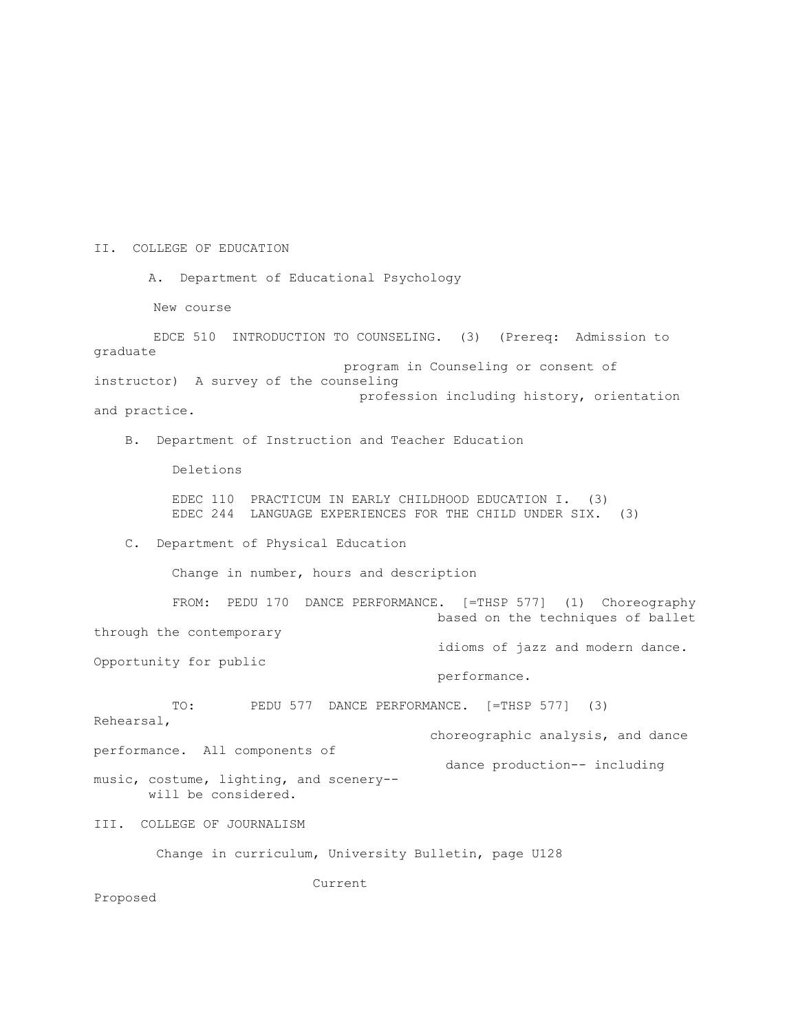#### II. COLLEGE OF EDUCATION

A. Department of Educational Psychology

New course

 EDCE 510 INTRODUCTION TO COUNSELING. (3) (Prereq: Admission to graduate program in Counseling or consent of instructor) A survey of the counseling profession including history, orientation and practice.

B. Department of Instruction and Teacher Education

Deletions

 EDEC 110 PRACTICUM IN EARLY CHILDHOOD EDUCATION I. (3) EDEC 244 LANGUAGE EXPERIENCES FOR THE CHILD UNDER SIX. (3)

C. Department of Physical Education

Change in number, hours and description

 FROM: PEDU 170 DANCE PERFORMANCE. [=THSP 577] (1) Choreography based on the techniques of ballet through the contemporary idioms of jazz and modern dance. Opportunity for public performance. TO: PEDU 577 DANCE PERFORMANCE. [=THSP 577] (3) Rehearsal,

 choreographic analysis, and dance performance. All components of dance production-- including music, costume, lighting, and scenery- will be considered.

III. COLLEGE OF JOURNALISM

Change in curriculum, University Bulletin, page U128

Current

Proposed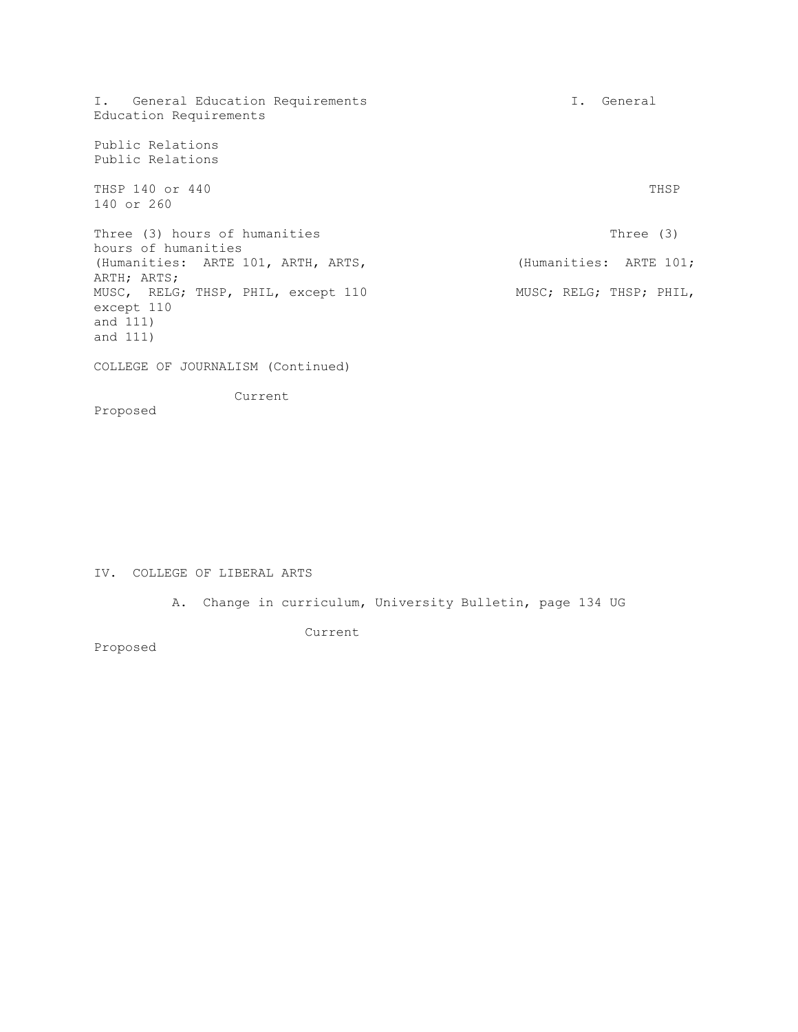I. General Education Requirements **I.** General Education Requirements Public Relations Public Relations THSP 140 or 440 THSP 150 and the state of the state of the state of the state of the state of the state of the state of the state of the state of the state of the state of the state of the state of the state of the state o 140 or 260 Three (3) hours of humanities Three (3) hours of humanities hours of humanities (Humanities: ARTE 101, ARTH, ARTS, (Humanities: ARTE 101; ARTH; ARTS; MUSC, RELG; THSP, PHIL, except 110 MUSC; RELG; THSP; PHIL, except 110 and 111) and 111) COLLEGE OF JOURNALISM (Continued) Current Proposed

## IV. COLLEGE OF LIBERAL ARTS

A. Change in curriculum, University Bulletin, page 134 UG

Current

Proposed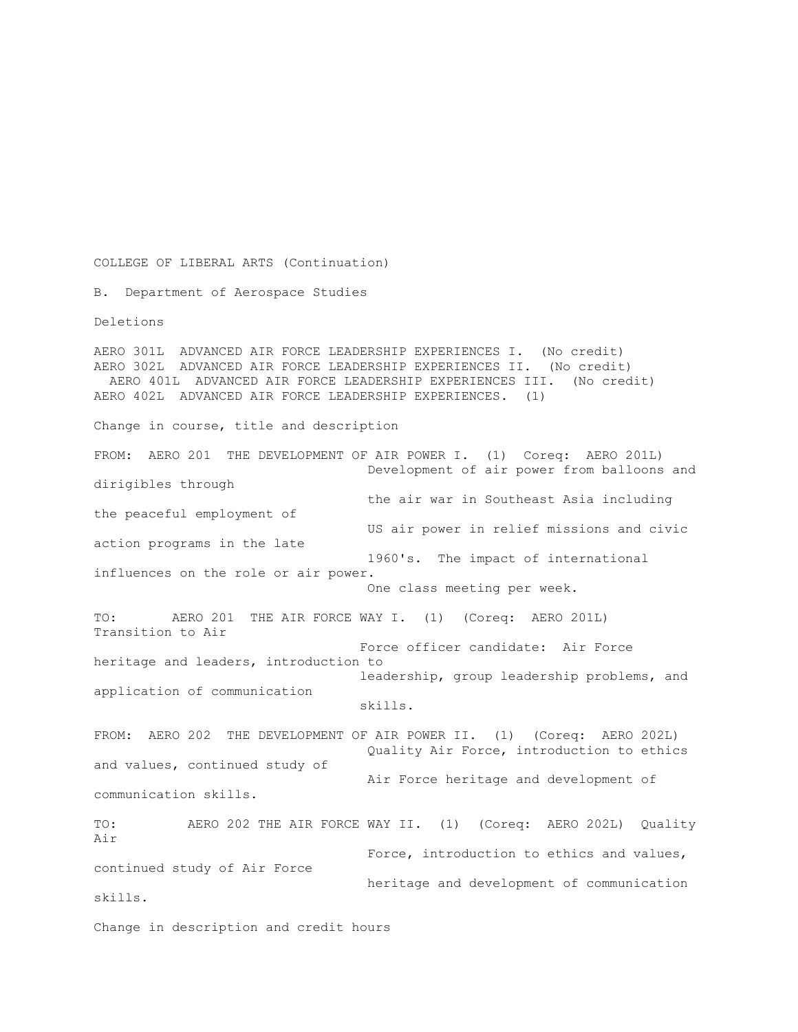COLLEGE OF LIBERAL ARTS (Continuation)

B. Department of Aerospace Studies

Deletions

AERO 301L ADVANCED AIR FORCE LEADERSHIP EXPERIENCES I. (No credit) AERO 302L ADVANCED AIR FORCE LEADERSHIP EXPERIENCES II. (No credit) AERO 401L ADVANCED AIR FORCE LEADERSHIP EXPERIENCES III. (No credit) AERO 402L ADVANCED AIR FORCE LEADERSHIP EXPERIENCES. (1) Change in course, title and description FROM: AERO 201 THE DEVELOPMENT OF AIR POWER I. (1) Coreq: AERO 201L) Development of air power from balloons and dirigibles through the air war in Southeast Asia including the peaceful employment of US air power in relief missions and civic action programs in the late 1960's. The impact of international influences on the role or air power. One class meeting per week. TO: AERO 201 THE AIR FORCE WAY I. (1) (Coreq: AERO 201L) Transition to Air Force officer candidate: Air Force heritage and leaders, introduction to leadership, group leadership problems, and application of communication skills. FROM: AERO 202 THE DEVELOPMENT OF AIR POWER II. (1) (Coreq: AERO 202L) Quality Air Force, introduction to ethics and values, continued study of Air Force heritage and development of communication skills. TO: AERO 202 THE AIR FORCE WAY II. (1) (Coreq: AERO 202L) Quality Air Force, introduction to ethics and values, continued study of Air Force heritage and development of communication skills. Change in description and credit hours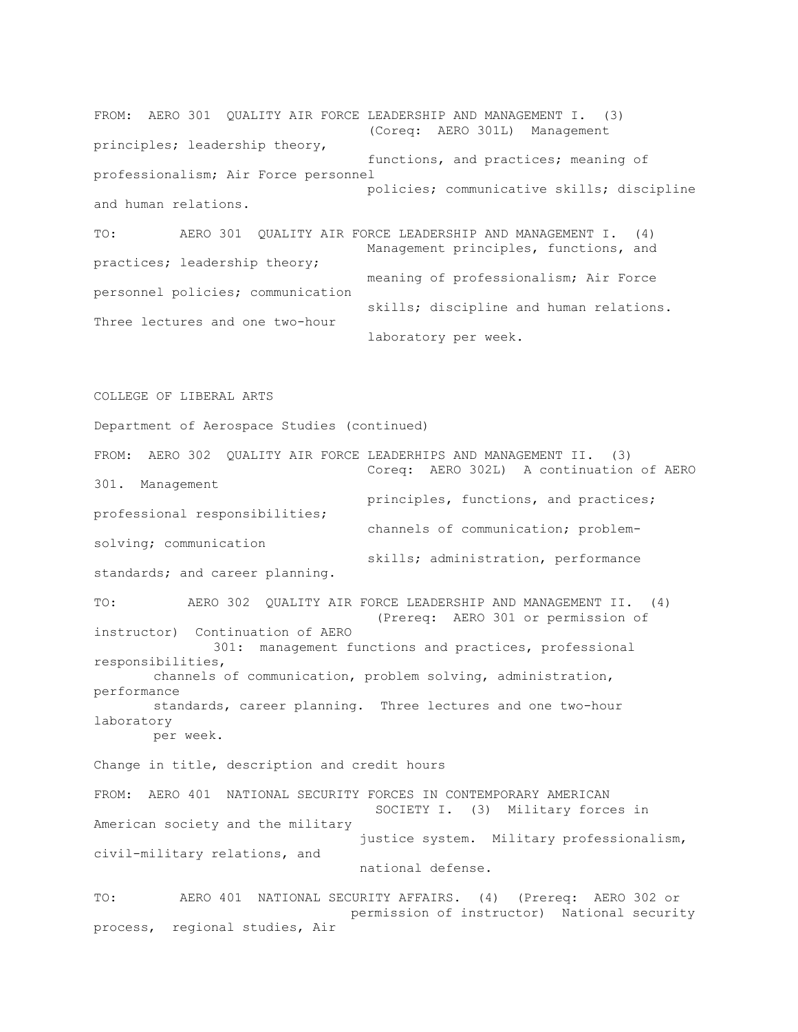FROM: AERO 301 QUALITY AIR FORCE LEADERSHIP AND MANAGEMENT I. (3) (Coreq: AERO 301L) Management principles; leadership theory, functions, and practices; meaning of professionalism; Air Force personnel policies; communicative skills; discipline and human relations. TO: AERO 301 QUALITY AIR FORCE LEADERSHIP AND MANAGEMENT I. (4) Management principles, functions, and practices; leadership theory;

meaning of professionalism; Air Force personnel policies; communication skills; discipline and human relations. Three lectures and one two-hour laboratory per week.

COLLEGE OF LIBERAL ARTS

Department of Aerospace Studies (continued)

FROM: AERO 302 QUALITY AIR FORCE LEADERHIPS AND MANAGEMENT II. (3) Coreq: AERO 302L) A continuation of AERO 301. Management principles, functions, and practices; professional responsibilities; channels of communication; problemsolving; communication skills; administration, performance standards; and career planning. TO: AERO 302 QUALITY AIR FORCE LEADERSHIP AND MANAGEMENT II. (4) (Prereq: AERO 301 or permission of instructor) Continuation of AERO 301: management functions and practices, professional responsibilities, channels of communication, problem solving, administration, performance standards, career planning. Three lectures and one two-hour laboratory per week. Change in title, description and credit hours FROM: AERO 401 NATIONAL SECURITY FORCES IN CONTEMPORARY AMERICAN SOCIETY I. (3) Military forces in American society and the military justice system. Military professionalism, civil-military relations, and national defense. TO: AERO 401 NATIONAL SECURITY AFFAIRS. (4) (Prereq: AERO 302 or permission of instructor) National security

process, regional studies, Air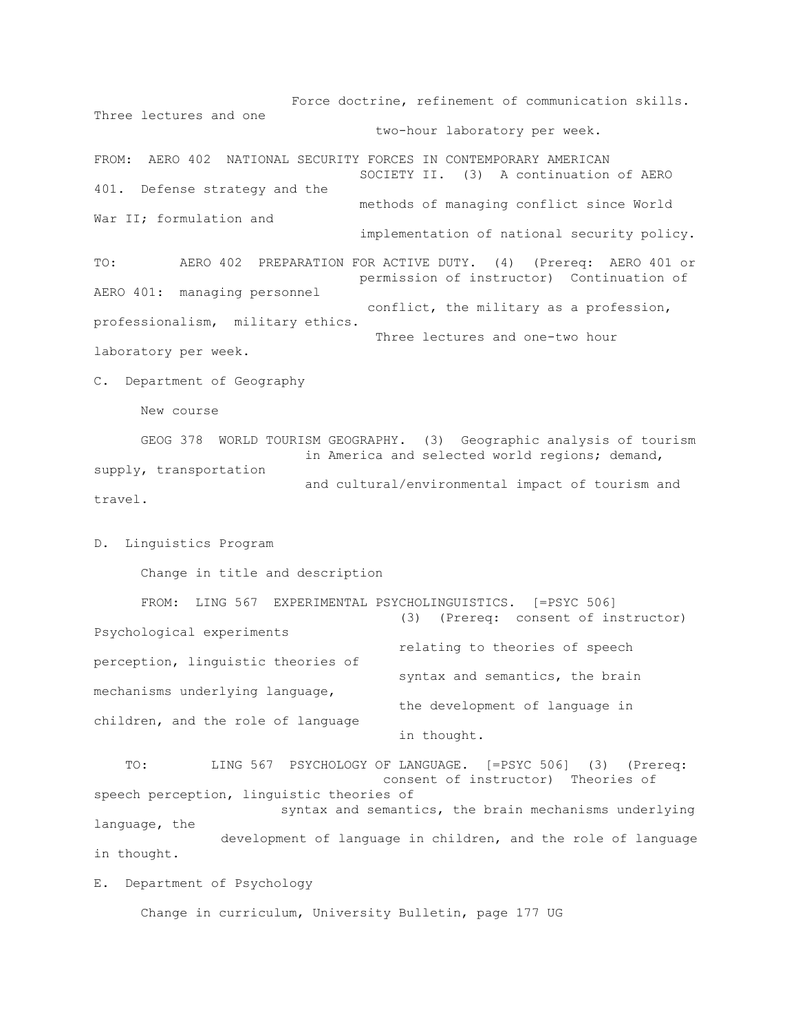Force doctrine, refinement of communication skills. Three lectures and one two-hour laboratory per week. FROM: AERO 402 NATIONAL SECURITY FORCES IN CONTEMPORARY AMERICAN SOCIETY II. (3) A continuation of AERO 401. Defense strategy and the methods of managing conflict since World War II; formulation and implementation of national security policy. TO: AERO 402 PREPARATION FOR ACTIVE DUTY. (4) (Prereq: AERO 401 or permission of instructor) Continuation of AERO 401: managing personnel conflict, the military as a profession, professionalism, military ethics. Three lectures and one-two hour laboratory per week. C. Department of Geography

New course

 GEOG 378 WORLD TOURISM GEOGRAPHY. (3) Geographic analysis of tourism in America and selected world regions; demand, supply, transportation and cultural/environmental impact of tourism and travel.

D. Linguistics Program

Change in title and description

 FROM: LING 567 EXPERIMENTAL PSYCHOLINGUISTICS. [=PSYC 506] (3) (Prereq: consent of instructor) Psychological experiments relating to theories of speech perception, linguistic theories of syntax and semantics, the brain mechanisms underlying language, the development of language in children, and the role of language in thought.

 TO: LING 567 PSYCHOLOGY OF LANGUAGE. [=PSYC 506] (3) (Prereq: consent of instructor) Theories of speech perception, linguistic theories of syntax and semantics, the brain mechanisms underlying language, the development of language in children, and the role of language in thought.

E. Department of Psychology

Change in curriculum, University Bulletin, page 177 UG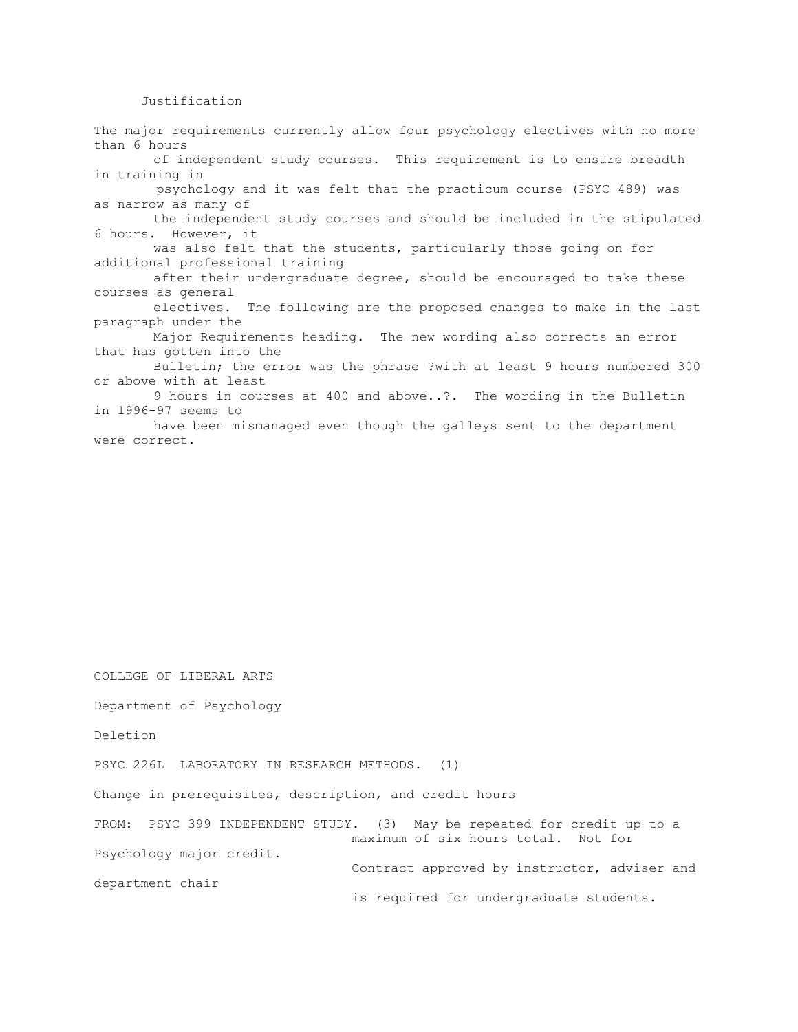### Justification

The major requirements currently allow four psychology electives with no more than 6 hours of independent study courses. This requirement is to ensure breadth in training in psychology and it was felt that the practicum course (PSYC 489) was as narrow as many of the independent study courses and should be included in the stipulated 6 hours. However, it was also felt that the students, particularly those going on for additional professional training after their undergraduate degree, should be encouraged to take these courses as general electives. The following are the proposed changes to make in the last paragraph under the Major Requirements heading. The new wording also corrects an error that has gotten into the Bulletin; the error was the phrase ?with at least 9 hours numbered 300 or above with at least 9 hours in courses at 400 and above..?. The wording in the Bulletin in 1996-97 seems to

have been mismanaged even though the galleys sent to the department were correct.

COLLEGE OF LIBERAL ARTS

Department of Psychology

Deletion

PSYC 226L LABORATORY IN RESEARCH METHODS. (1)

Change in prerequisites, description, and credit hours

FROM: PSYC 399 INDEPENDENT STUDY. (3) May be repeated for credit up to a maximum of six hours total. Not for Psychology major credit. Contract approved by instructor, adviser and department chair is required for undergraduate students.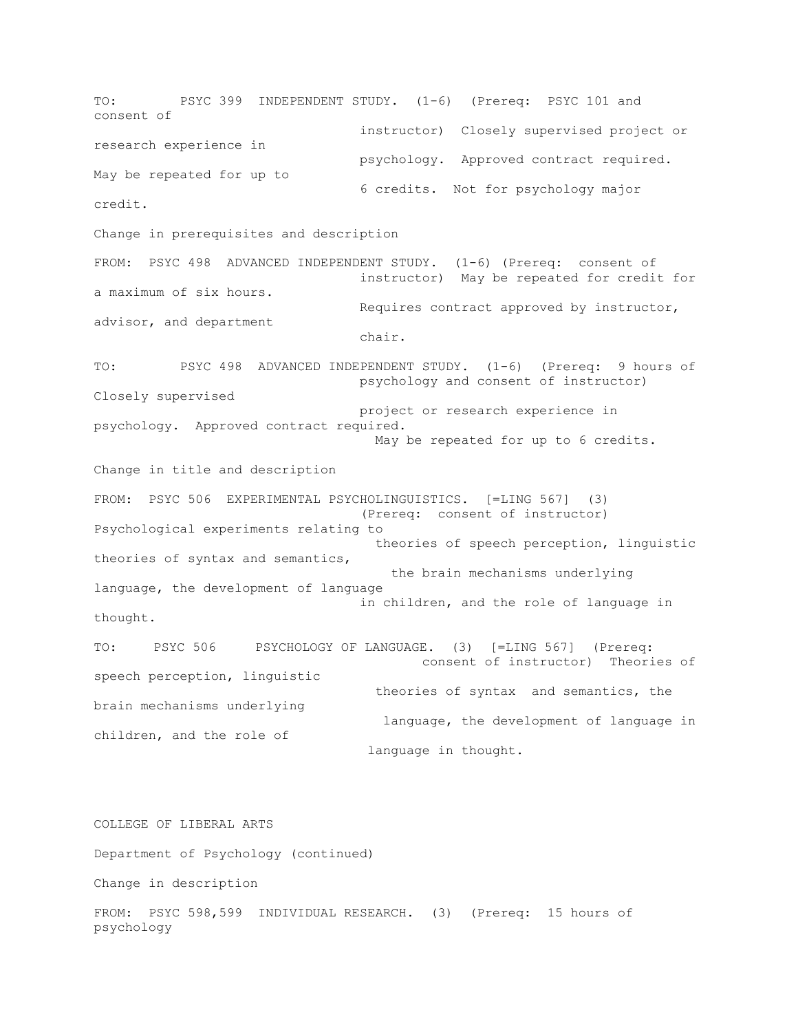TO: PSYC 399 INDEPENDENT STUDY. (1-6) (Prereq: PSYC 101 and consent of instructor) Closely supervised project or research experience in psychology. Approved contract required. May be repeated for up to 6 credits. Not for psychology major credit. Change in prerequisites and description FROM: PSYC 498 ADVANCED INDEPENDENT STUDY. (1-6) (Prereq: consent of instructor) May be repeated for credit for a maximum of six hours. Requires contract approved by instructor, advisor, and department chair. TO: PSYC 498 ADVANCED INDEPENDENT STUDY. (1-6) (Prereq: 9 hours of psychology and consent of instructor) Closely supervised project or research experience in psychology. Approved contract required. May be repeated for up to 6 credits. Change in title and description FROM: PSYC 506 EXPERIMENTAL PSYCHOLINGUISTICS. [=LING 567] (3) (Prereq: consent of instructor) Psychological experiments relating to theories of speech perception, linguistic theories of syntax and semantics, the brain mechanisms underlying language, the development of language in children, and the role of language in thought. TO: PSYC 506 PSYCHOLOGY OF LANGUAGE. (3) [=LING 567] (Prereq: consent of instructor) Theories of speech perception, linguistic theories of syntax and semantics, the brain mechanisms underlying language, the development of language in children, and the role of language in thought. COLLEGE OF LIBERAL ARTS Department of Psychology (continued)

Change in description

FROM: PSYC 598,599 INDIVIDUAL RESEARCH. (3) (Prereq: 15 hours of psychology